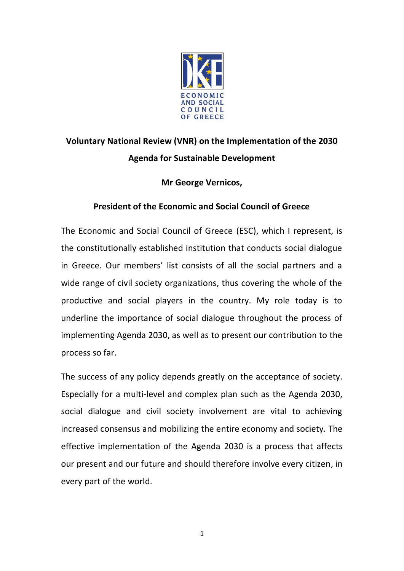

## **Voluntary National Review (VNR) on the Implementation of the 2030 Agenda for Sustainable Development**

## **Mr George Vernicos,**

## **President of the Economic and Social Council of Greece**

The Economic and Social Council of Greece (ESC), which I represent, is the constitutionally established institution that conducts social dialogue in Greece. Our members' list consists of all the social partners and a wide range of civil society organizations, thus covering the whole of the productive and social players in the country. My role today is to underline the importance of social dialogue throughout the process of implementing Agenda 2030, as well as to present our contribution to the process so far.

The success of any policy depends greatly on the acceptance of society. Especially for a multi-level and complex plan such as the Agenda 2030, social dialogue and civil society involvement are vital to achieving increased consensus and mobilizing the entire economy and society. The effective implementation of the Agenda 2030 is a process that affects our present and our future and should therefore involve every citizen, in every part of the world.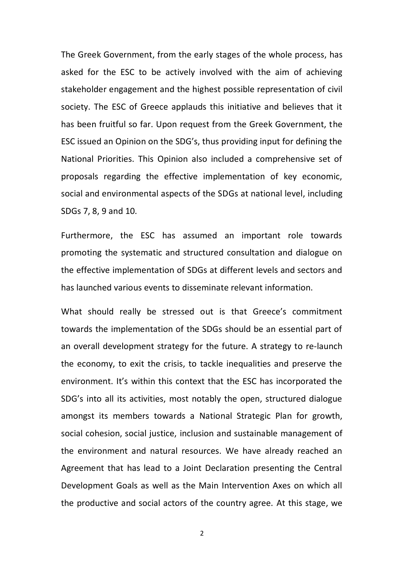The Greek Government, from the early stages of the whole process, has asked for the ESC to be actively involved with the aim of achieving stakeholder engagement and the highest possible representation of civil society. The ESC of Greece applauds this initiative and believes that it has been fruitful so far. Upon request from the Greek Government, the ESC issued an Opinion on the SDG's, thus providing input for defining the National Priorities. This Opinion also included a comprehensive set of proposals regarding the effective implementation of key economic, social and environmental aspects of the SDGs at national level, including SDGs 7, 8, 9 and 10.

Furthermore, the ESC has assumed an important role towards promoting the systematic and structured consultation and dialogue on the effective implementation of SDGs at different levels and sectors and has launched various events to disseminate relevant information.

What should really be stressed out is that Greece's commitment towards the implementation of the SDGs should be an essential part of an overall development strategy for the future. A strategy to re-launch the economy, to exit the crisis, to tackle inequalities and preserve the environment. It's within this context that the ESC has incorporated the SDG's into all its activities, most notably the open, structured dialogue amongst its members towards a National Strategic Plan for growth, social cohesion, social justice, inclusion and sustainable management of the environment and natural resources. We have already reached an Agreement that has lead to a Joint Declaration presenting the Central Development Goals as well as the Main Intervention Axes on which all the productive and social actors of the country agree. At this stage, we

2